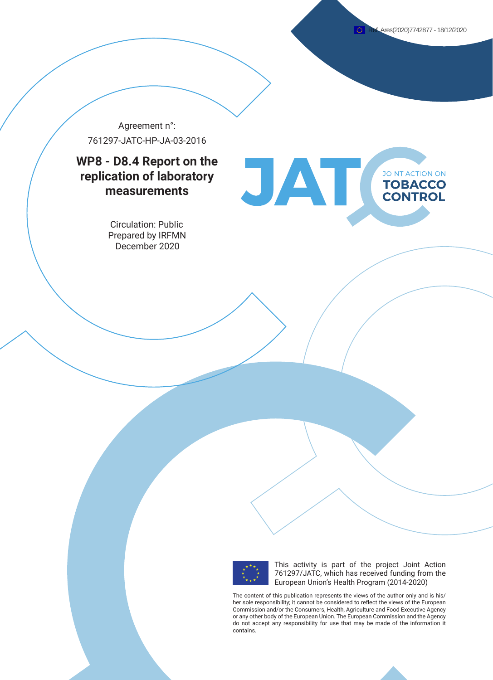**JOINT ACTION ON TOBACCO CONTROL** 

Agreement n°: 761297-JATC-HP-JA-03-2016

# **WP8 - D8.4 Report on the replication of laboratory measurements**

Circulation: Public Prepared by IRFMN December 2020



This activity is part of the project Joint Action 761297/JATC, which has received funding from the European Union's Health Program (2014-2020)

The content of this publication represents the views of the author only and is his/ her sole responsibility; it cannot be considered to reflect the views of the European Commission and/or the Consumers, Health, Agriculture and Food Executive Agency or any other body of the European Union. The European Commission and the Agency do not accept any responsibility for use that may be made of the information it contains.

JAT(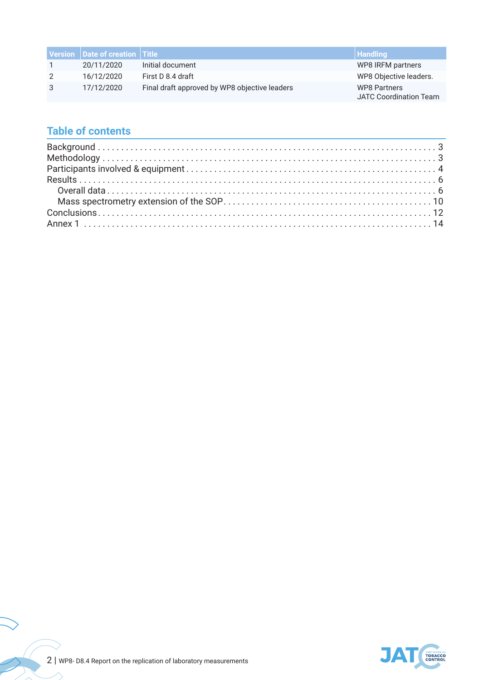|               | Version Date of creation Title |                                               | Handling                                             |
|---------------|--------------------------------|-----------------------------------------------|------------------------------------------------------|
|               | 20/11/2020                     | Initial document                              | WP8 IRFM partners                                    |
| $\mathcal{P}$ | 16/12/2020                     | First D 8.4 draft                             | WP8 Objective leaders.                               |
| 3             | 17/12/2020                     | Final draft approved by WP8 objective leaders | <b>WP8 Partners</b><br><b>JATC Coordination Team</b> |

# **Table of contents**



 $\overline{a}$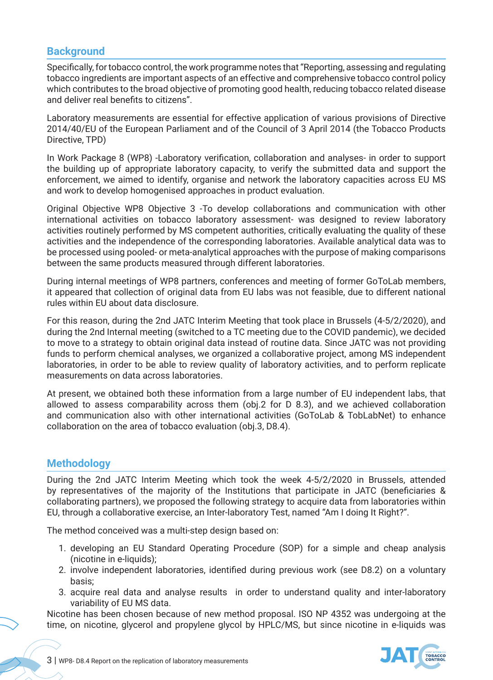# **Background**

Specifically, for tobacco control, the work programme notes that "Reporting, assessing and regulating tobacco ingredients are important aspects of an effective and comprehensive tobacco control policy which contributes to the broad objective of promoting good health, reducing tobacco related disease and deliver real benefits to citizens".

Laboratory measurements are essential for effective application of various provisions of Directive 2014/40/EU of the European Parliament and of the Council of 3 April 2014 (the Tobacco Products Directive, TPD)

In Work Package 8 (WP8) -Laboratory verification, collaboration and analyses- in order to support the building up of appropriate laboratory capacity, to verify the submitted data and support the enforcement, we aimed to identify, organise and network the laboratory capacities across EU MS and work to develop homogenised approaches in product evaluation.

Original Objective WP8 Objective 3 -To develop collaborations and communication with other international activities on tobacco laboratory assessment- was designed to review laboratory activities routinely performed by MS competent authorities, critically evaluating the quality of these activities and the independence of the corresponding laboratories. Available analytical data was to be processed using pooled- or meta-analytical approaches with the purpose of making comparisons between the same products measured through different laboratories.

During internal meetings of WP8 partners, conferences and meeting of former GoToLab members, it appeared that collection of original data from EU labs was not feasible, due to different national rules within EU about data disclosure.

For this reason, during the 2nd JATC Interim Meeting that took place in Brussels (4-5/2/2020), and during the 2nd Internal meeting (switched to a TC meeting due to the COVID pandemic), we decided to move to a strategy to obtain original data instead of routine data. Since JATC was not providing funds to perform chemical analyses, we organized a collaborative project, among MS independent laboratories, in order to be able to review quality of laboratory activities, and to perform replicate measurements on data across laboratories.

At present, we obtained both these information from a large number of EU independent labs, that allowed to assess comparability across them (obj.2 for D 8.3), and we achieved collaboration and communication also with other international activities (GoToLab & TobLabNet) to enhance collaboration on the area of tobacco evaluation (obj.3, D8.4).

# **Methodology**

During the 2nd JATC Interim Meeting which took the week 4-5/2/2020 in Brussels, attended by representatives of the majority of the Institutions that participate in JATC (beneficiaries & collaborating partners), we proposed the following strategy to acquire data from laboratories within EU, through a collaborative exercise, an Inter-laboratory Test, named "Am I doing It Right?".

The method conceived was a multi-step design based on:

- 1. developing an EU Standard Operating Procedure (SOP) for a simple and cheap analysis (nicotine in e-liquids);
- 2. involve independent laboratories, identified during previous work (see D8.2) on a voluntary basis;
- 3. acquire real data and analyse results in order to understand quality and inter-laboratory variability of EU MS data.

Nicotine has been chosen because of new method proposal. ISO NP 4352 was undergoing at the time, on nicotine, glycerol and propylene glycol by HPLC/MS, but since nicotine in e-liquids was

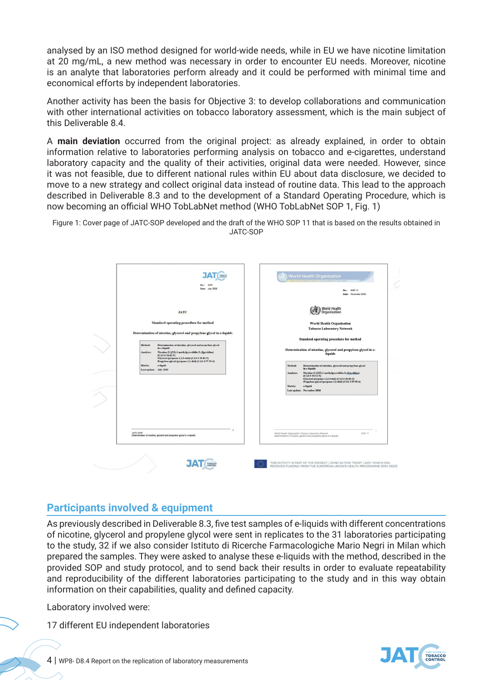analysed by an ISO method designed for world-wide needs, while in EU we have nicotine limitation at 20 mg/mL, a new method was necessary in order to encounter EU needs. Moreover, nicotine is an analyte that laboratories perform already and it could be performed with minimal time and economical efforts by independent laboratories.

Another activity has been the basis for Objective 3: to develop collaborations and communication with other international activities on tobacco laboratory assessment, which is the main subject of this Deliverable 8.4.

A **main deviation** occurred from the original project: as already explained, in order to obtain information relative to laboratories performing analysis on tobacco and e-cigarettes, understand laboratory capacity and the quality of their activities, original data were needed. However, since it was not feasible, due to different national rules within EU about data disclosure, we decided to move to a new strategy and collect original data instead of routine data. This lead to the approach described in Deliverable 8.3 and to the development of a Standard Operating Procedure, which is now becoming an official WHO TobLabNet method (WHO TobLabNet SOP 1, Fig. 1)

Figure 1: Cover page of JATC-SOP developed and the draft of the WHO SOP 11 that is based on the results obtained in JATC-SOP



# **Participants involved & equipment**

**Participants involved & equipment** of nicotine, glycerol and propylene glycol were sent in replicates to the 31 laboratories participating to the study, 32 if we also consider Istituto di Ricerche Farmacologiche Mario Negri in Milan which prepared the samples. They were asked to analyse these e-liquids with the method, described in the provided SOP and study protocol, and to send back their results in order to evaluate repeatability and reproducibility of the different laboratories participating to the study and in this way obtain reproducibility of the different laboratories participating to the study and in this way information on their capabilities, quality and defined capacity. information on their capabilities, quality and defined capacity. As previously described in Deliverable 8.3, five test samples of e-liquids with different concentrations

Laboratory involved were: Laboratory involved were:

at EU independent leboratories 17 different EU independent laboratories

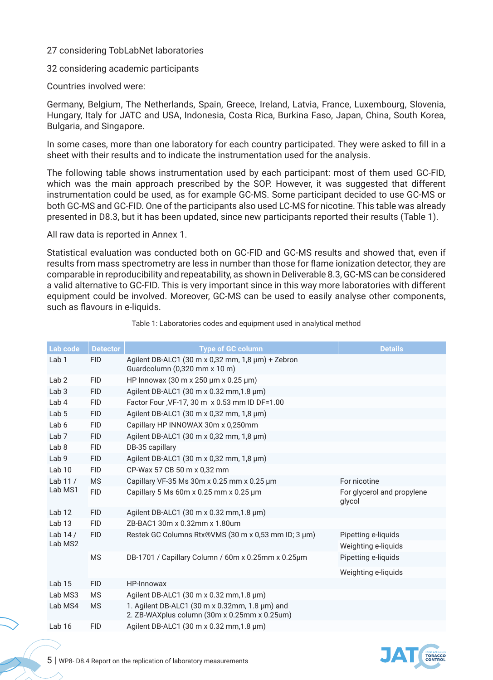# 27 considering TobLabNet laboratories

32 considering academic participants

Countries involved were:

Germany, Belgium, The Netherlands, Spain, Greece, Ireland, Latvia, France, Luxembourg, Slovenia, Hungary, Italy for JATC and USA, Indonesia, Costa Rica, Burkina Faso, Japan, China, South Korea, Bulgaria, and Singapore.

In some cases, more than one laboratory for each country participated. They were asked to fill in a sheet with their results and to indicate the instrumentation used for the analysis.

The following table shows instrumentation used by each participant: most of them used GC-FID, which was the main approach prescribed by the SOP. However, it was suggested that different instrumentation could be used, as for example GC-MS. Some participant decided to use GC-MS or both GC-MS and GC-FID. One of the participants also used LC-MS for nicotine. This table was already presented in D8.3, but it has been updated, since new participants reported their results (Table 1).

All raw data is reported in Annex 1.

Statistical evaluation was conducted both on GC-FID and GC-MS results and showed that, even if results from mass spectrometry are less in number than those for flame ionization detector, they are comparable in reproducibility and repeatability, as shown in Deliverable 8.3, GC-MS can be considered a valid alternative to GC-FID. This is very important since in this way more laboratories with different equipment could be involved. Moreover, GC-MS can be used to easily analyse other components, such as flavours in e-liquids.

| Lab code          | <b>Detector</b> | <b>Type of GC column</b>                                                                       | <b>Details</b>                       |
|-------------------|-----------------|------------------------------------------------------------------------------------------------|--------------------------------------|
| Lab <sub>1</sub>  | <b>FID</b>      | Agilent DB-ALC1 (30 m x 0,32 mm, 1,8 µm) + Zebron<br>Guardcolumn (0,320 mm x 10 m)             |                                      |
| Lab <sub>2</sub>  | <b>FID</b>      | HP Innowax (30 m x 250 µm x 0.25 µm)                                                           |                                      |
| Lab <sub>3</sub>  | <b>FID</b>      | Agilent DB-ALC1 (30 m x 0.32 mm, 1.8 µm)                                                       |                                      |
| Lab <sub>4</sub>  | <b>FID</b>      | Factor Four, VF-17, 30 m x 0.53 mm ID DF=1.00                                                  |                                      |
| Lab <sub>5</sub>  | <b>FID</b>      | Agilent DB-ALC1 (30 m x 0,32 mm, 1,8 µm)                                                       |                                      |
| Lab 6             | <b>FID</b>      | Capillary HP INNOWAX 30m x 0,250mm                                                             |                                      |
| Lab <sub>7</sub>  | <b>FID</b>      | Agilent DB-ALC1 (30 m x 0,32 mm, 1,8 µm)                                                       |                                      |
| Lab <sub>8</sub>  | <b>FID</b>      | DB-35 capillary                                                                                |                                      |
| Lab <sub>9</sub>  | <b>FID</b>      | Agilent DB-ALC1 (30 m x 0,32 mm, 1,8 µm)                                                       |                                      |
| Lab <sub>10</sub> | <b>FID</b>      | CP-Wax 57 CB 50 m x 0,32 mm                                                                    |                                      |
| Lab $11/$         | <b>MS</b>       | Capillary VF-35 Ms 30m x 0.25 mm x 0.25 µm                                                     | For nicotine                         |
| Lab MS1           | <b>FID</b>      | Capillary 5 Ms 60m x 0.25 mm x 0.25 $\mu$ m                                                    | For glycerol and propylene<br>glycol |
| Lab <sub>12</sub> | <b>FID</b>      | Agilent DB-ALC1 (30 m x 0.32 mm, 1.8 µm)                                                       |                                      |
| Lab <sub>13</sub> | <b>FID</b>      | ZB-BAC1 30m x 0.32mm x 1.80um                                                                  |                                      |
| Lab $14/$         | <b>FID</b>      | Restek GC Columns Rtx®VMS (30 m x 0,53 mm ID; 3 µm)                                            | Pipetting e-liquids                  |
| Lab MS2           |                 |                                                                                                | Weighting e-liquids                  |
|                   | <b>MS</b>       | DB-1701 / Capillary Column / 60m x 0.25mm x 0.25µm                                             | Pipetting e-liquids                  |
|                   |                 |                                                                                                | Weighting e-liquids                  |
| Lab <sub>15</sub> | <b>FID</b>      | HP-Innowax                                                                                     |                                      |
| Lab MS3           | <b>MS</b>       | Agilent DB-ALC1 (30 m x 0.32 mm, 1.8 µm)                                                       |                                      |
| Lab MS4           | <b>MS</b>       | 1. Agilent DB-ALC1 (30 m x 0.32mm, 1.8 µm) and<br>2. ZB-WAXplus column (30m x 0.25mm x 0.25um) |                                      |
| Lab <sub>16</sub> | <b>FID</b>      | Agilent DB-ALC1 (30 m x 0.32 mm, 1.8 µm)                                                       |                                      |
|                   |                 |                                                                                                |                                      |

Table 1: Laboratories codes and equipment used in analytical method

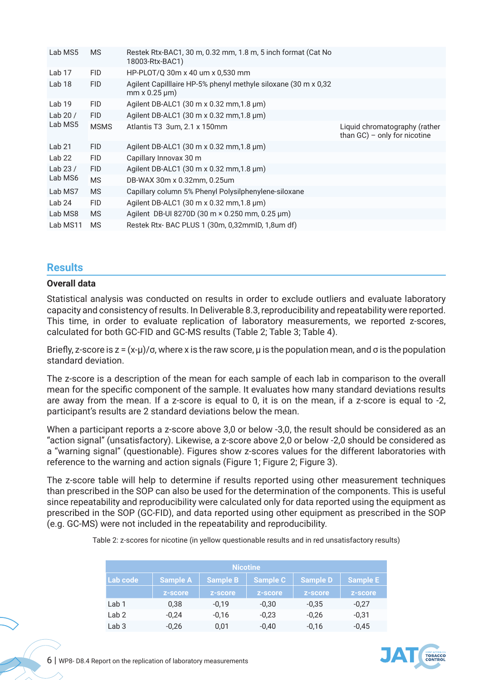| Lab MS5           | <b>MS</b>   | Restek Rtx-BAC1, 30 m, 0.32 mm, 1.8 m, 5 inch format (Cat No<br>18003-Rtx-BAC1)             |                                                                  |
|-------------------|-------------|---------------------------------------------------------------------------------------------|------------------------------------------------------------------|
| Lab 17            | FID.        | HP-PLOT/Q 30m x 40 um x 0,530 mm                                                            |                                                                  |
| Lab 18            | <b>FID</b>  | Agilent Capilllaire HP-5% phenyl methyle siloxane (30 m x 0,32)<br>$mm \times 0.25 \,\mu m$ |                                                                  |
| Lab 19            | <b>FID</b>  | Agilent DB-ALC1 $(30 \text{ m} \times 0.32 \text{ mm}, 1.8 \text{ µm})$                     |                                                                  |
| Lab 20 $/$        | FID.        | Agilent DB-ALC1 $(30 \text{ m} \times 0.32 \text{ mm}, 1.8 \text{ µm})$                     |                                                                  |
| Lab MS5           | <b>MSMS</b> | Atlantis T3 3um, 2.1 x 150mm                                                                | Liquid chromatography (rather<br>than $GC$ ) – only for nicotine |
| Lab 21            | FID.        | Agilent DB-ALC1 (30 m x 0.32 mm, 1.8 µm)                                                    |                                                                  |
| Lab <sub>22</sub> | <b>FID</b>  | Capillary Innovax 30 m                                                                      |                                                                  |
| Lab 23 $/$        | <b>FID</b>  | Agilent DB-ALC1 $(30 \text{ m} \times 0.32 \text{ mm}, 1.8 \text{ µm})$                     |                                                                  |
| Lab MS6           | <b>MS</b>   | DB-WAX 30m x 0.32mm, 0.25um                                                                 |                                                                  |
| Lab MS7           | <b>MS</b>   | Capillary column 5% Phenyl Polysilphenylene-siloxane                                        |                                                                  |
| Lab <sub>24</sub> | <b>FID</b>  | Agilent DB-ALC1 (30 m x 0.32 mm, 1.8 $\mu$ m)                                               |                                                                  |
| Lab MS8           | <b>MS</b>   | Agilent DB-UI 8270D (30 m × 0.250 mm, 0.25 µm)                                              |                                                                  |
| Lab MS11          | <b>MS</b>   | Restek Rtx- BAC PLUS 1 (30m, 0,32mmID, 1,8um df)                                            |                                                                  |

# **Results**

### **Overall data**

Statistical analysis was conducted on results in order to exclude outliers and evaluate laboratory capacity and consistency of results. In Deliverable 8.3, reproducibility and repeatability were reported. This time, in order to evaluate replication of laboratory measurements, we reported z-scores, calculated for both GC-FID and GC-MS results (Table 2; Table 3; Table 4).

Briefly, z-score is  $z = (x-\mu)/\sigma$ , where x is the raw score,  $\mu$  is the population mean, and  $\sigma$  is the population standard deviation.

The z-score is a description of the mean for each sample of each lab in comparison to the overall mean for the specific component of the sample. It evaluates how many standard deviations results are away from the mean. If a z-score is equal to 0, it is on the mean, if a z-score is equal to -2, participant's results are 2 standard deviations below the mean.

When a participant reports a z-score above 3,0 or below -3,0, the result should be considered as an "action signal" (unsatisfactory). Likewise, a z-score above 2,0 or below -2,0 should be considered as a "warning signal" (questionable). Figures show z-scores values for the different laboratories with reference to the warning and action signals (Figure 1; Figure 2; Figure 3).

The z-score table will help to determine if results reported using other measurement techniques than prescribed in the SOP can also be used for the determination of the components. This is useful since repeatability and reproducibility were calculated only for data reported using the equipment as prescribed in the SOP (GC-FID), and data reported using other equipment as prescribed in the SOP (e.g. GC-MS) were not included in the repeatability and reproducibility.

| <b>Nicotine</b>  |                 |                 |                 |                 |                 |  |  |
|------------------|-----------------|-----------------|-----------------|-----------------|-----------------|--|--|
| Lab code         | <b>Sample A</b> | <b>Sample B</b> | <b>Sample C</b> | <b>Sample D</b> | <b>Sample E</b> |  |  |
|                  | z-score         | <b>Z-score</b>  | <b>Z-score</b>  | <b>z-score</b>  | z-score         |  |  |
| Lab <sub>1</sub> | 0,38            | $-0,19$         | $-0,30$         | $-0,35$         | $-0,27$         |  |  |
| Lab <sub>2</sub> | $-0.24$         | $-0,16$         | $-0.23$         | $-0.26$         | $-0,31$         |  |  |
| Lab <sub>3</sub> | $-0,26$         | 0,01            | $-0,40$         | $-0,16$         | $-0.45$         |  |  |

Table 2: z-scores for nicotine (in yellow questionable results and in red unsatisfactory results)

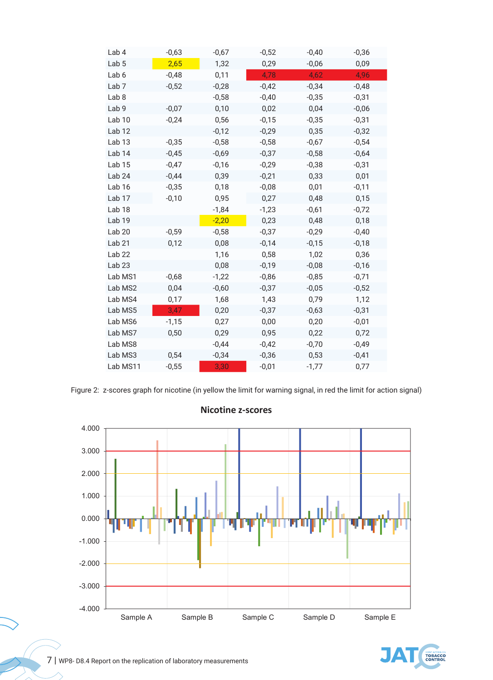| Lab 4             | $-0,63$ | $-0,67$ | $-0,52$ | $-0,40$ | $-0,36$ |
|-------------------|---------|---------|---------|---------|---------|
| Lab <sub>5</sub>  | 2,65    | 1,32    | 0,29    | $-0,06$ | 0,09    |
| Lab <sub>6</sub>  | $-0,48$ | 0,11    | 4,78    | 4,62    | 4,96    |
| Lab <sub>7</sub>  | $-0,52$ | $-0,28$ | $-0,42$ | $-0,34$ | $-0,48$ |
| Lab <sub>8</sub>  |         | $-0,58$ | $-0,40$ | $-0,35$ | $-0,31$ |
| Lab <sub>9</sub>  | $-0,07$ | 0,10    | 0,02    | 0,04    | $-0,06$ |
| Lab <sub>10</sub> | $-0,24$ | 0,56    | $-0,15$ | $-0,35$ | $-0,31$ |
| Lab <sub>12</sub> |         | $-0,12$ | $-0,29$ | 0,35    | $-0,32$ |
| Lab <sub>13</sub> | $-0,35$ | $-0,58$ | $-0,58$ | $-0,67$ | $-0,54$ |
| Lab <sub>14</sub> | $-0,45$ | $-0,69$ | $-0,37$ | $-0,58$ | $-0,64$ |
| Lab <sub>15</sub> | $-0,47$ | $-0,16$ | $-0,29$ | $-0,38$ | $-0,31$ |
| Lab <sub>24</sub> | $-0,44$ | 0,39    | $-0,21$ | 0,33    | 0,01    |
| Lab <sub>16</sub> | $-0,35$ | 0,18    | $-0,08$ | 0,01    | $-0,11$ |
| Lab <sub>17</sub> | $-0,10$ | 0,95    | 0,27    | 0,48    | 0,15    |
| Lab <sub>18</sub> |         | $-1,84$ | $-1,23$ | $-0,61$ | $-0,72$ |
| Lab <sub>19</sub> |         | $-2,20$ | 0,23    | 0,48    | 0,18    |
| Lab <sub>20</sub> | $-0,59$ | $-0,58$ | $-0,37$ | $-0,29$ | $-0,40$ |
| Lab <sub>21</sub> | 0,12    | 0,08    | $-0,14$ | $-0,15$ | $-0,18$ |
| Lab <sub>22</sub> |         | 1,16    | 0,58    | 1,02    | 0,36    |
| Lab <sub>23</sub> |         | 0,08    | $-0,19$ | $-0,08$ | $-0,16$ |
| Lab MS1           | $-0,68$ | $-1,22$ | $-0,86$ | $-0,85$ | $-0,71$ |
| Lab MS2           | 0,04    | $-0,60$ | $-0,37$ | $-0,05$ | $-0,52$ |
| Lab MS4           | 0,17    | 1,68    | 1,43    | 0,79    | 1,12    |
| Lab MS5           | 3,47    | 0,20    | $-0,37$ | $-0,63$ | $-0,31$ |
| Lab MS6           | $-1,15$ | 0,27    | 0,00    | 0,20    | $-0,01$ |
| Lab MS7           | 0,50    | 0,29    | 0,95    | 0,22    | 0,72    |
| Lab MS8           |         | $-0,44$ | $-0,42$ | $-0,70$ | $-0,49$ |
| Lab MS3           | 0,54    | $-0,34$ | $-0,36$ | 0,53    | $-0,41$ |
| Lab MS11          | $-0,55$ | 3,30    | $-0,01$ | $-1,77$ | 0,77    |
|                   |         |         |         |         |         |

Figure 2: z-scores graph for nicotine (in yellow the limit for warning signal, in red the limit for action signal)



**Nicotine z-scores** 

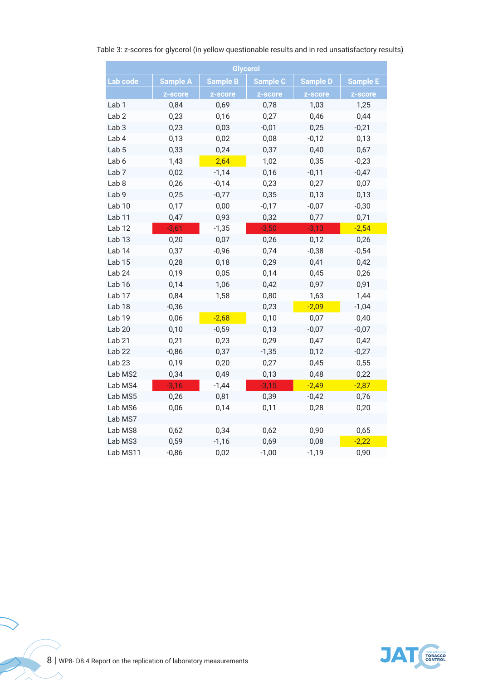| <b>Glycerol</b>   |                 |                 |                 |                 |                 |  |  |  |
|-------------------|-----------------|-----------------|-----------------|-----------------|-----------------|--|--|--|
| Lab code          | <b>Sample A</b> | <b>Sample B</b> | <b>Sample C</b> | <b>Sample D</b> | <b>Sample E</b> |  |  |  |
|                   | z-score         | z-score         | z-score         | z-score         | z-score         |  |  |  |
| Lab <sub>1</sub>  | 0,84            | 0,69            | 0,78            | 1,03            | 1,25            |  |  |  |
| Lab <sub>2</sub>  | 0,23            | 0,16            | 0,27            | 0,46            | 0,44            |  |  |  |
| Lab <sub>3</sub>  | 0,23            | 0,03            | $-0,01$         | 0,25            | $-0,21$         |  |  |  |
| Lab 4             | 0,13            | 0,02            | 0,08            | $-0,12$         | 0,13            |  |  |  |
| Lab <sub>5</sub>  | 0,33            | 0,24            | 0,37            | 0,40            | 0,67            |  |  |  |
| Lab 6             | 1,43            | 2,64            | 1,02            | 0,35            | $-0,23$         |  |  |  |
| Lab <sub>7</sub>  | 0,02            | $-1,14$         | 0,16            | $-0,11$         | $-0,47$         |  |  |  |
| Lab <sub>8</sub>  | 0,26            | $-0,14$         | 0,23            | 0,27            | 0,07            |  |  |  |
| Lab <sub>9</sub>  | 0,25            | $-0,77$         | 0,35            | 0,13            | 0,13            |  |  |  |
| Lab <sub>10</sub> | 0,17            | 0,00            | $-0,17$         | $-0,07$         | $-0,30$         |  |  |  |
| Lab <sub>11</sub> | 0,47            | 0,93            | 0,32            | 0,77            | 0,71            |  |  |  |
| Lab <sub>12</sub> | $-3,61$         | $-1,35$         | $-3,50$         | $-3,13$         | $-2,54$         |  |  |  |
| Lab <sub>13</sub> | 0,20            | 0,07            | 0,26            | 0,12            | 0,26            |  |  |  |
| Lab <sub>14</sub> | 0,37            | $-0,96$         | 0,74            | $-0,38$         | $-0,54$         |  |  |  |
| Lab <sub>15</sub> | 0,28            | 0,18            | 0,29            | 0,41            | 0,42            |  |  |  |
| Lab <sub>24</sub> | 0,19            | 0,05            | 0,14            | 0,45            | 0,26            |  |  |  |
| Lab <sub>16</sub> | 0,14            | 1,06            | 0,42            | 0,97            | 0,91            |  |  |  |
| Lab <sub>17</sub> | 0,84            | 1,58            | 0,80            | 1,63            | 1,44            |  |  |  |
| Lab <sub>18</sub> | $-0,36$         |                 | 0,23            | $-2,09$         | $-1,04$         |  |  |  |
| Lab <sub>19</sub> | 0,06            | $-2,68$         | 0,10            | 0,07            | 0,40            |  |  |  |
| Lab <sub>20</sub> | 0,10            | $-0,59$         | 0,13            | $-0,07$         | $-0,07$         |  |  |  |
| Lab <sub>21</sub> | 0,21            | 0,23            | 0,29            | 0,47            | 0,42            |  |  |  |
| Lab <sub>22</sub> | $-0,86$         | 0,37            | $-1,35$         | 0,12            | $-0,27$         |  |  |  |
| Lab <sub>23</sub> | 0,19            | 0,20            | 0,27            | 0,45            | 0,55            |  |  |  |
| Lab MS2           | 0,34            | 0,49            | 0,13            | 0,48            | 0,22            |  |  |  |
| Lab MS4           | $-3,16$         | $-1,44$         | $-3,15$         | $-2,49$         | $-2,87$         |  |  |  |
| Lab MS5           | 0,26            | 0,81            | 0,39            | $-0,42$         | 0,76            |  |  |  |
| Lab MS6           | 0,06            | 0,14            | 0,11            | 0,28            | 0,20            |  |  |  |
| Lab MS7           |                 |                 |                 |                 |                 |  |  |  |
| Lab MS8           | 0,62            | 0,34            | 0,62            | 0,90            | 0,65            |  |  |  |
| Lab MS3           | 0,59            | $-1,16$         | 0,69            | 0,08            | $-2,22$         |  |  |  |
| Lab MS11          | $-0,86$         | 0,02            | $-1,00$         | $-1,19$         | 0,90            |  |  |  |

# Table 3: z-scores for glycerol (in yellow questionable results and in red unsatisfactory results)



 $\frac{1}{2}$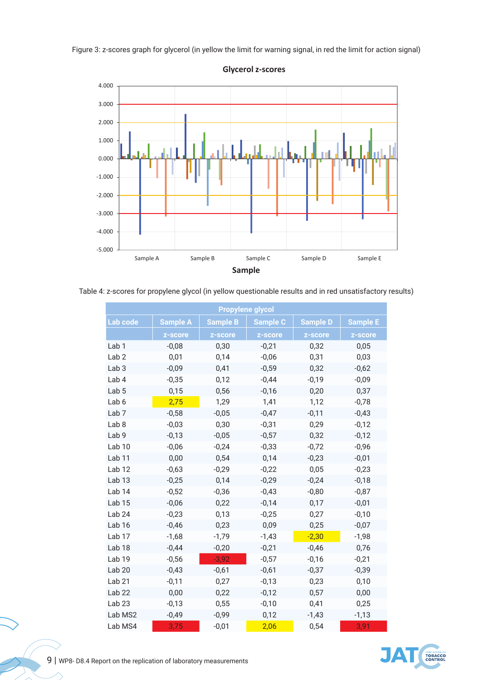Figure 3: z-scores graph for glycerol (in yellow the limit for warning signal, in red the limit for action signal)



**Glycerol z-scores** 

(Table 4: z-scores for propylene glycol (in yellow questionable results and in red unsatisfactory results

|                   |                 |                 | <b>Propylene glycol</b> |                 |                 |
|-------------------|-----------------|-----------------|-------------------------|-----------------|-----------------|
| Lab code          | <b>Sample A</b> | <b>Sample B</b> | <b>Sample C</b>         | <b>Sample D</b> | <b>Sample E</b> |
|                   | z-score         | z-score         | z-score                 | z-score         | z-score         |
| Lab <sub>1</sub>  | $-0,08$         | 0,30            | $-0,21$                 | 0,32            | 0,05            |
| Lab <sub>2</sub>  | 0,01            | 0,14            | $-0,06$                 | 0,31            | 0,03            |
| Lab <sub>3</sub>  | $-0,09$         | 0,41            | $-0,59$                 | 0,32            | $-0,62$         |
| Lab 4             | $-0,35$         | 0,12            | $-0,44$                 | $-0,19$         | $-0,09$         |
| Lab <sub>5</sub>  | 0,15            | 0,56            | $-0,16$                 | 0,20            | 0,37            |
| Lab 6             | 2,75            | 1,29            | 1,41                    | 1,12            | $-0,78$         |
| Lab <sub>7</sub>  | $-0,58$         | $-0,05$         | $-0,47$                 | $-0,11$         | $-0,43$         |
| Lab <sub>8</sub>  | $-0,03$         | 0,30            | $-0,31$                 | 0,29            | $-0,12$         |
| Lab <sub>9</sub>  | $-0,13$         | $-0,05$         | $-0,57$                 | 0,32            | $-0,12$         |
| Lab <sub>10</sub> | $-0,06$         | $-0,24$         | $-0,33$                 | $-0,72$         | $-0,96$         |
| Lab <sub>11</sub> | 0,00            | 0,54            | 0,14                    | $-0,23$         | $-0,01$         |
| Lab <sub>12</sub> | $-0,63$         | $-0,29$         | $-0,22$                 | 0,05            | $-0,23$         |
| Lab <sub>13</sub> | $-0,25$         | 0,14            | $-0,29$                 | $-0,24$         | $-0,18$         |
| Lab <sub>14</sub> | $-0,52$         | $-0,36$         | $-0,43$                 | $-0,80$         | $-0,87$         |
| Lab <sub>15</sub> | $-0,06$         | 0,22            | $-0,14$                 | 0,17            | $-0,01$         |
| Lab <sub>24</sub> | $-0,23$         | 0,13            | $-0,25$                 | 0,27            | $-0,10$         |
| Lab <sub>16</sub> | $-0,46$         | 0,23            | 0,09                    | 0,25            | $-0,07$         |
| Lab <sub>17</sub> | $-1,68$         | $-1,79$         | $-1,43$                 | $-2,30$         | $-1,98$         |
| Lab <sub>18</sub> | $-0,44$         | $-0,20$         | $-0,21$                 | $-0,46$         | 0,76            |
| Lab <sub>19</sub> | $-0,56$         | $-3,92$         | $-0,57$                 | $-0,16$         | $-0,21$         |
| Lab <sub>20</sub> | $-0,43$         | $-0,61$         | $-0,61$                 | $-0,37$         | $-0,39$         |
| Lab <sub>21</sub> | $-0,11$         | 0,27            | $-0,13$                 | 0,23            | 0,10            |
| Lab <sub>22</sub> | 0,00            | 0,22            | $-0,12$                 | 0,57            | 0,00            |
| Lab <sub>23</sub> | $-0,13$         | 0,55            | $-0,10$                 | 0,41            | 0,25            |
| Lab MS2           | $-0,49$         | $-0,99$         | 0,12                    | $-1,43$         | $-1,13$         |
| Lab MS4           | 3,75            | $-0,01$         | 2,06                    | 0,54            | 3.91            |

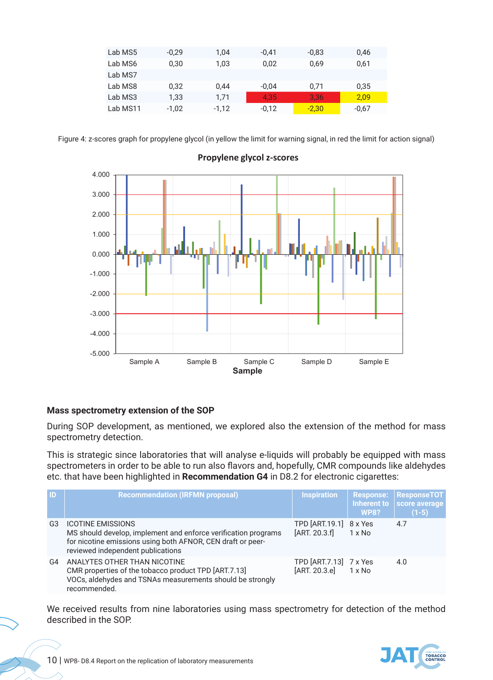| Lab MS5  | $-0,29$ | 1.04    | $-0.41$ | $-0.83$ | 0,46    |
|----------|---------|---------|---------|---------|---------|
| Lab MS6  | 0.30    | 1.03    | 0.02    | 0,69    | 0,61    |
| Lab MS7  |         |         |         |         |         |
| Lab MS8  | 0.32    | 0.44    | $-0.04$ | 0,71    | 0,35    |
| Lab MS3  | 1.33    | 1,71    | 4.35    | 3.36    | 2,09    |
| Lab MS11 | $-1,02$ | $-1.12$ | $-0.12$ | $-2,30$ | $-0.67$ |

Figure 4: z-scores graph for propylene glycol (in yellow the limit for warning signal, in red the limit for action signal)



# **Propylene glycol z-scores**

# **Mass spectrometry extension of the SOP**

During SOP development, as mentioned, we explored also the extension of the method for mass spectrometry detection.

This is strategic since laboratories that will analyse e-liquids will probably be equipped with mass spectrometers in order to be able to run also flavors and, hopefully, CMR compounds like aldehydes etc. that have been highlighted in **Recommendation G4** in D8.2 for electronic cigarettes:

| $\blacksquare$ | <b>Recommendation (IRFMN proposal)</b>                                                                                                                                                         | <b>Inspiration</b>                        | <b>Response:</b><br><b>WP8?</b> | <b>ResponseTOT</b><br>Inherent to score average<br>$(1-5)$ |
|----------------|------------------------------------------------------------------------------------------------------------------------------------------------------------------------------------------------|-------------------------------------------|---------------------------------|------------------------------------------------------------|
| G3             | <b>ICOTINE EMISSIONS</b><br>MS should develop, implement and enforce verification programs<br>for nicotine emissions using both AFNOR, CEN draft or peer-<br>reviewed independent publications | TPD $[ART.19.1]$ 8 x Yes<br>[ART. 20.3.f] | $1 \times$ No                   | 4.7                                                        |
| G4             | ANALYTES OTHER THAN NICOTINE<br>CMR properties of the tobacco product TPD [ART.7.13]<br>VOCs, aldehydes and TSNAs measurements should be strongly<br>recommended.                              | TPD [ART.7.13] 7 x Yes<br>[ART. 20.3.e]   | $1 \times$ No                   | 4.0                                                        |

We received results from nine laboratories using mass spectrometry for detection of the method described in the SOP.

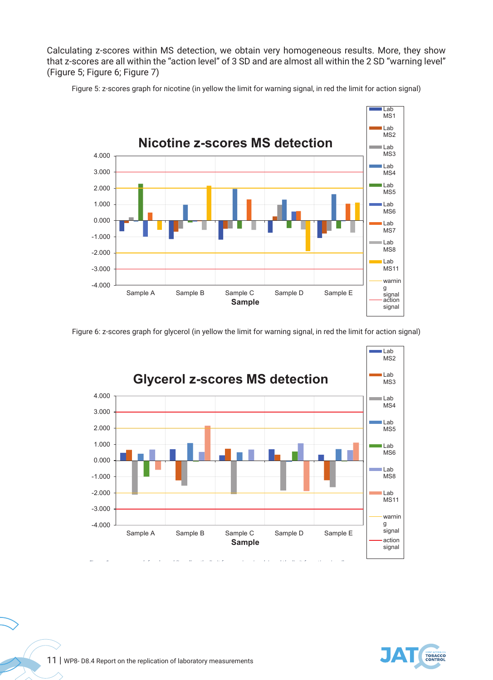Calculating z-scores within MS detection, we obtain very homogeneous results. More, they show that z-scores are all within the "action level" of 3 SD and are almost all within the 2 SD "warning level" (Figure 5; Figure 6; Figure 7)



Figure 5: z-scores graph for nicotine (in yellow the limit for warning signal, in red the limit for action signal)

Figure 6: z-scores graph for glycerol (in yellow the limit for warning signal, in red the limit for action signal)



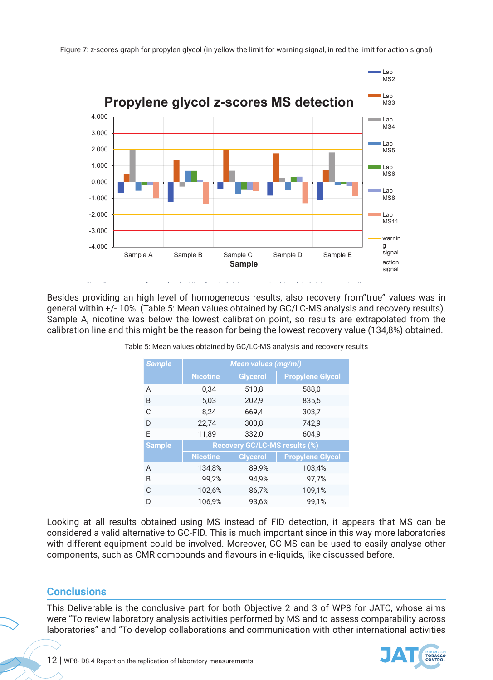

Figure 7: z-scores graph for propylen glycol (in yellow the limit for warning signal, in red the limit for action signal)

Sample A, nicotine was below the lowest calibration point, so results are extrapolated from the calibration line and this might be the reason for being the lowest recovery value (134,8%) obtained.  $S_{\alpha}$  a, nicotine was below the lowest calibration point, so results are extrapolated from the extrapolated from the lowest calibration point, so results are extrapolated from the extrapolated from the extrapolated from Besides providing an high level of homogeneous results, also recovery from"true" values was in general within +/- 10% (Table 5: Mean values obtained by GC/LC-MS analysis and recovery results).

| <b>Sample</b> | <b>Mean values (mg/ml)</b> |                                      |                         |  |
|---------------|----------------------------|--------------------------------------|-------------------------|--|
|               | <b>Nicotine</b>            | Glycerol                             | <b>Propylene Glycol</b> |  |
| A             | 0,34                       | 510,8                                | 588,0                   |  |
| B             | 5,03                       | 202,9                                | 835,5                   |  |
| C             | 8,24                       | 669,4                                | 303,7                   |  |
| D             | 22,74                      | 300,8                                | 742,9                   |  |
| E             | 11,89                      | 332,0                                | 604,9                   |  |
| <b>Sample</b> |                            | <b>Recovery GC/LC-MS results (%)</b> |                         |  |
|               | <b>Nicotine</b>            | <b>Glycerol</b>                      | <b>Propylene Glycol</b> |  |
| A             | 134,8%                     | 89,9%                                | 103,4%                  |  |
| B             | 99,2%                      | 94,9%                                | 97,7%                   |  |
| C             | 102,6%                     | 86,7%                                | 109,1%                  |  |
| D             | 106,9%                     | 93,6%                                | 99,1%                   |  |

Table 5: Mean values obtained by GC/LC-MS analysis and recovery results

Looking at all results obtained using MS instead of FID detection, it appears that MS can be considered a valid alternative to GC-FID. This is much important since in this way more laboratories with different equipment could be involved. Moreover, GC-MS can be used to easily analyse other components, such as CMR compounds and flavours in e-liquids, like discussed before.

# **Conclusions**

This Deliverable is the conclusive part for both Objective 2 and 3 of WP8 for JATC, whose aims were "To review laboratory analysis activities performed by MS and to assess comparability across laboratories" and "To develop collaborations and communication with other international activities

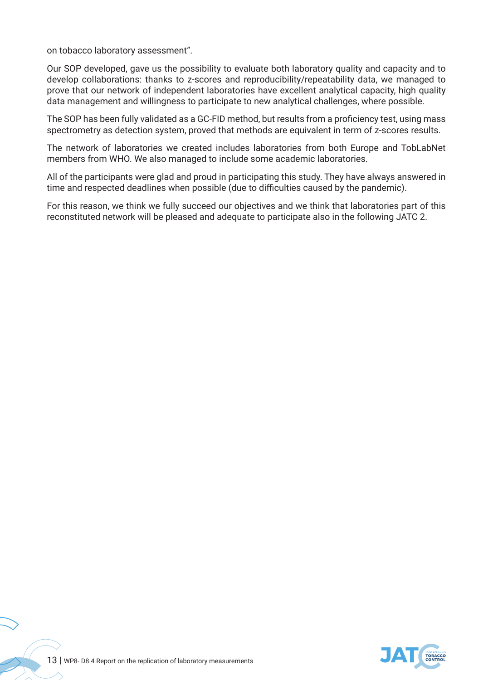on tobacco laboratory assessment".

Our SOP developed, gave us the possibility to evaluate both laboratory quality and capacity and to develop collaborations: thanks to z-scores and reproducibility/repeatability data, we managed to prove that our network of independent laboratories have excellent analytical capacity, high quality data management and willingness to participate to new analytical challenges, where possible.

The SOP has been fully validated as a GC-FID method, but results from a proficiency test, using mass spectrometry as detection system, proved that methods are equivalent in term of z-scores results.

The network of laboratories we created includes laboratories from both Europe and TobLabNet members from WHO. We also managed to include some academic laboratories.

All of the participants were glad and proud in participating this study. They have always answered in time and respected deadlines when possible (due to difficulties caused by the pandemic).

For this reason, we think we fully succeed our objectives and we think that laboratories part of this reconstituted network will be pleased and adequate to participate also in the following JATC 2.

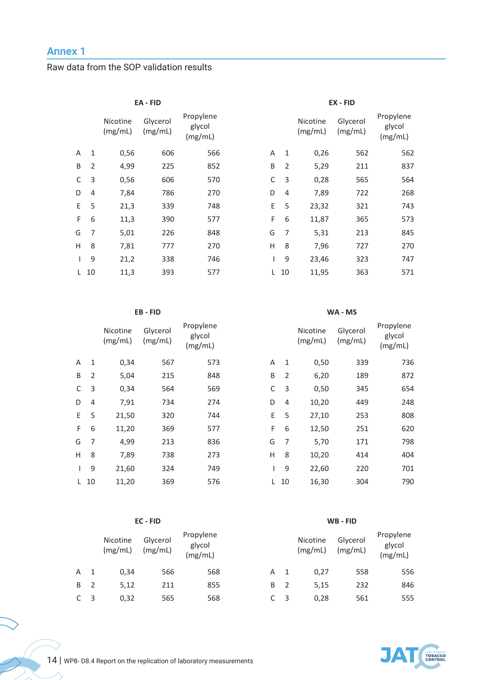# **Annex 1 Annex 1**

Raw data from the SOP validation results

|                | Nicotine<br>(mg/mL) | Glycerol<br>(mg/mL) | Propylene<br>glycol<br>(mg/mL) |    |   | Nicotine<br>(mg/mL) | Glycerol<br>(mg/mL) | Propylene<br>glycol<br>(mg/mL) |
|----------------|---------------------|---------------------|--------------------------------|----|---|---------------------|---------------------|--------------------------------|
| $\mathbf{1}$   | 0,56                | 606                 | 566                            | A  | 1 | 0,26                | 562                 | 562                            |
| $\overline{2}$ | 4,99                | 225                 | 852                            | B  | 2 | 5,29                | 211                 | 837                            |
| 3              | 0,56                | 606                 | 570                            | C  | 3 | 0,28                | 565                 | 564                            |
| 4              | 7,84                | 786                 | 270                            | D  | 4 | 7,89                | 722                 | 268                            |
| 5              | 21,3                | 339                 | 748                            | E. | 5 | 23,32               | 321                 | 743                            |
| 6              | 11,3                | 390                 | 577                            | F  | 6 | 11,87               | 365                 | 573                            |
| 7              | 5,01                | 226                 | 848                            | G  | 7 | 5,31                | 213                 | 845                            |
| 8              | 7,81                | 777                 | 270                            | H  | 8 | 7,96                | 727                 | 270                            |
| 9              | 21,2                | 338                 | 746                            |    | 9 | 23,46               | 323                 | 747                            |
|                | 11,3                | 393                 | 577                            | L. |   | 11,95               | 363                 | 571                            |
|                | $L$ 10              |                     | EA - FID                       |    |   | 10                  |                     | EX - FID                       |

### **EB - FID WA - MS**

|    |    | Nicotine<br>(mg/mL) | Glycerol<br>(mg/mL) | Propylene<br>glycol<br>(mg/mL) |    |    | Nicotine<br>(mg/mL) | Glycerol<br>(mg/mL) | Propylene<br>glycol<br>(mg/mL) |
|----|----|---------------------|---------------------|--------------------------------|----|----|---------------------|---------------------|--------------------------------|
| A  | 1  | 0,34                | 567                 | 573                            | A  | 1  | 0,50                | 339                 | 736                            |
| B  | 2  | 5,04                | 215                 | 848                            | B  | 2  | 6,20                | 189                 | 872                            |
| C  | 3  | 0,34                | 564                 | 569                            | C  | 3  | 0,50                | 345                 | 654                            |
| D  | 4  | 7,91                | 734                 | 274                            | D  | 4  | 10,20               | 449                 | 248                            |
| E. | 5  | 21,50               | 320                 | 744                            | E. | 5  | 27,10               | 253                 | 808                            |
| F. | 6  | 11,20               | 369                 | 577                            | F  | 6  | 12,50               | 251                 | 620                            |
| G  | 7  | 4,99                | 213                 | 836                            | G  | 7  | 5,70                | 171                 | 798                            |
| H  | 8  | 7,89                | 738                 | 273                            | н  | 8  | 10,20               | 414                 | 404                            |
|    | 9  | 21,60               | 324                 | 749                            |    | 9  | 22,60               | 220                 | 701                            |
| L. | 10 | 11,20               | 369                 | 576                            | L. | 10 | 16,30               | 304                 | 790                            |

|   |                |                     | WA - MS             |                                |
|---|----------------|---------------------|---------------------|--------------------------------|
|   |                | Nicotine<br>(mg/mL) | Glycerol<br>(mg/mL) | Propylene<br>glycol<br>(mg/mL) |
| A | 1              | 0,50                | 339                 | 736                            |
| B | $\overline{2}$ | 6,20                | 189                 | 872                            |
| C | 3              | 0,50                | 345                 | 654                            |
| D | 4              | 10,20               | 449                 | 248                            |
| E | 5              | 27,10               | 253                 | 808                            |
| Е | հ              | 12 5 N              | つら1                 | 670                            |

|  | $-6$ 11,20 | 369 | 577 |  | F 6 12,50       | 251 | 620 |
|--|------------|-----|-----|--|-----------------|-----|-----|
|  | 5 7 4,99   | 213 | 836 |  | G 7 5,70        | 171 | 798 |
|  | 1 8 7,89   | 738 | 273 |  | H 8 10,20       | 414 | 404 |
|  | l 9 21,60  | 324 | 749 |  | $1 \t9 \t22.60$ | 220 | 701 |
|  | L 10 11.20 | 369 | 576 |  | L 10 16.30      | 304 | 790 |

### **EC - FID WB - FID**

|    | Nicotine<br>(mg/mL) | Glycerol<br>(mg/mL) | Propylene<br>glycol<br>(mg/mL) |   |   | Nicotine<br>(mg/mL) | Glycerol<br>(mg/mL) | Propylene<br>glycol<br>(mg/mL) |
|----|---------------------|---------------------|--------------------------------|---|---|---------------------|---------------------|--------------------------------|
| A  | 0,34                | 566                 | 568                            | А |   | 0.27                | 558                 | 556                            |
| B. | 5,12                | 211                 | 855                            | B |   | 5.15                | 232                 | 846                            |
| C  | 0,32                | 565                 | 568                            |   | 3 | 0.28                | 561                 | 555                            |

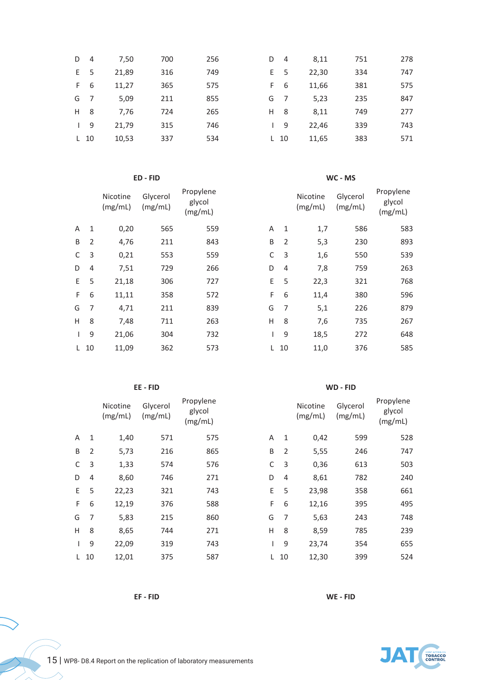| D            | $\overline{4}$ | 7,50  | 700 | 256 | D  | $\overline{4}$ | 8,11  | 751 | 278 |
|--------------|----------------|-------|-----|-----|----|----------------|-------|-----|-----|
| E.           | -5             | 21,89 | 316 | 749 | E. | -5             | 22,30 | 334 | 747 |
| F.           | -6             | 11,27 | 365 | 575 | F  | 6              | 11,66 | 381 | 575 |
| G            | 7              | 5,09  | 211 | 855 | G  | -7             | 5,23  | 235 | 847 |
| H            | -8             | 7,76  | 724 | 265 | Н  | -8             | 8,11  | 749 | 277 |
| $\mathbf{I}$ | 9              | 21,79 | 315 | 746 |    | 9              | 22,46 | 339 | 743 |
|              | $L$ 10         | 10,53 | 337 | 534 | L  | -10            | 11,65 | 383 | 571 |
|              |                |       |     |     |    |                |       |     |     |

### **ED - FID WC - MS**

|    |    | Nicotine<br>(mg/mL) | Glycerol<br>(mg/mL) | Propylene<br>glycol<br>(mg/mL) |    |    | Nicotine<br>(mg/mL) | Glycerol<br>(mg/mL) | Propylene<br>glycol<br>(mg/mL) |
|----|----|---------------------|---------------------|--------------------------------|----|----|---------------------|---------------------|--------------------------------|
| A  | 1  | 0,20                | 565                 | 559                            | A  | 1  | 1,7                 | 586                 | 583                            |
| B  | 2  | 4,76                | 211                 | 843                            | B  | 2  | 5,3                 | 230                 | 893                            |
| C  | 3  | 0,21                | 553                 | 559                            | C  | 3  | 1,6                 | 550                 | 539                            |
| D  | 4  | 7,51                | 729                 | 266                            | D  | 4  | 7,8                 | 759                 | 263                            |
| E. | 5  | 21,18               | 306                 | 727                            | E. | 5  | 22,3                | 321                 | 768                            |
| F  | 6  | 11,11               | 358                 | 572                            | F. | 6  | 11,4                | 380                 | 596                            |
| G  | 7  | 4,71                | 211                 | 839                            | G  | 7  | 5,1                 | 226                 | 879                            |
| H  | 8  | 7,48                | 711                 | 263                            | H  | 8  | 7,6                 | 735                 | 267                            |
|    | 9  | 21,06               | 304                 | 732                            |    | 9  | 18,5                | 272                 | 648                            |
| L. | 10 | 11,09               | 362                 | 573                            | L. | 10 | 11,0                | 376                 | 585                            |

|    |                | Nicotine<br>(mg/mL) | Glycerol<br>(mg/mL) | Propylene<br>glycol<br>(mg/mL) |    |    | Nicotine<br>(mg/mL) | Glycerol<br>(mg/mL) | Propylene<br>glycol<br>(mg/mL) |
|----|----------------|---------------------|---------------------|--------------------------------|----|----|---------------------|---------------------|--------------------------------|
| A  | 1              | 1,40                | 571                 | 575                            | A  | 1  | 0,42                | 599                 | 528                            |
| B  | $\overline{2}$ | 5,73                | 216                 | 865                            | B  | 2  | 5,55                | 246                 | 747                            |
| C  | 3              | 1,33                | 574                 | 576                            | C  | 3  | 0,36                | 613                 | 503                            |
| D  | 4              | 8,60                | 746                 | 271                            | D  | 4  | 8,61                | 782                 | 240                            |
| E. | 5              | 22,23               | 321                 | 743                            | E  | 5  | 23,98               | 358                 | 661                            |
| F. | 6              | 12,19               | 376                 | 588                            | F  | 6  | 12,16               | 395                 | 495                            |
| G  | 7              | 5,83                | 215                 | 860                            | G  | 7  | 5,63                | 243                 | 748                            |
| H  | 8              | 8,65                | 744                 | 271                            | H  | 8  | 8,59                | 785                 | 239                            |
|    | 9              | 22,09               | 319                 | 743                            |    | 9  | 23,74               | 354                 | 655                            |
| L. | 10             | 12,01               | 375                 | 587                            | L. | 10 | 12,30               | 399                 | 524                            |

### **EE - FID WD - FID**

Propylene glycol (mg/mL)

|              |                | Nicotine<br>(mg/mL) | Glycerol<br>(mg/mL) | Propylene<br>glycol<br>(mg/mL) |   |                | Nicotine<br>(mg/mL) | Glycerol<br>(mg/mL) | Propylene<br>glycol<br>(mg/mL) |
|--------------|----------------|---------------------|---------------------|--------------------------------|---|----------------|---------------------|---------------------|--------------------------------|
| A            | 1              | 1,40                | 571                 | 575                            | A | $\mathbf{1}$   | 0,42                | 599                 | 528                            |
| В            | $\overline{2}$ | 5,73                | 216                 | 865                            | B | $\overline{2}$ | 5,55                | 246                 | 747                            |
| С            | 3              | 1,33                | 574                 | 576                            | C | 3              | 0,36                | 613                 | 503                            |
| D            | $\overline{4}$ | 8,60                | 746                 | 271                            | D | $\overline{4}$ | 8,61                | 782                 | 240                            |
| E            | 5              | 22,23               | 321                 | 743                            | E | 5              | 23,98               | 358                 | 661                            |
| F.           | 6              | 12,19               | 376                 | 588                            | F | 6              | 12,16               | 395                 | 495                            |
| G            | 7              | 5,83                | 215                 | 860                            | G | 7              | 5,63                | 243                 | 748                            |
| Н            | 8              | 8,65                | 744                 | 271                            | H | 8              | 8,59                | 785                 | 239                            |
| $\mathbf{I}$ | 9              | 22,09               | 319                 | 743                            |   | 9              | 23,74               | 354                 | 655                            |
|              | $L$ 10         | 12,01               | 375                 | 587                            | L | 10             | 12,30               | 399                 | 524                            |

**EF - FID WE - FID**

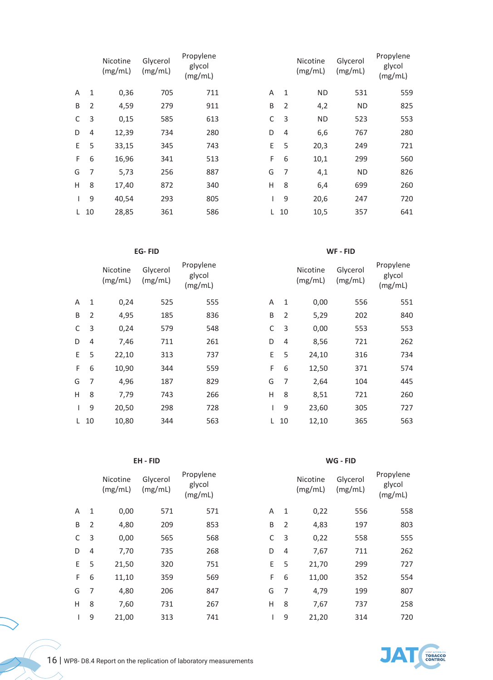|    |                | Nicotine<br>(mg/mL) | Glycerol<br>(mg/mL) | Propylene<br>glycol<br>(mg/mL) |    |                | Nicotine<br>(mg/mL) | Glycerol<br>(mg/mL) | Propylene<br>glycol<br>(mg/mL) |
|----|----------------|---------------------|---------------------|--------------------------------|----|----------------|---------------------|---------------------|--------------------------------|
| A  | 1              | 0,36                | 705                 | 711                            | A  | 1              | <b>ND</b>           | 531                 | 559                            |
| B  | $\overline{2}$ | 4,59                | 279                 | 911                            | B  | 2              | 4,2                 | <b>ND</b>           | 825                            |
| C  | 3              | 0,15                | 585                 | 613                            | C  | 3              | <b>ND</b>           | 523                 | 553                            |
| D  | $\overline{4}$ | 12,39               | 734                 | 280                            | D  | $\overline{4}$ | 6,6                 | 767                 | 280                            |
| E. | 5              | 33,15               | 345                 | 743                            | E. | 5              | 20,3                | 249                 | 721                            |
| F  | 6              | 16,96               | 341                 | 513                            | F  | 6              | 10,1                | 299                 | 560                            |
| G  | 7              | 5,73                | 256                 | 887                            | G  | 7              | 4,1                 | <b>ND</b>           | 826                            |
| H  | 8              | 17,40               | 872                 | 340                            | Н  | 8              | 6,4                 | 699                 | 260                            |
|    | 9              | 40,54               | 293                 | 805                            |    | 9              | 20,6                | 247                 | 720                            |
| L. | 10             | 28,85               | 361                 | 586                            | L. | 10             | 10,5                | 357                 | 641                            |

|    |                | Nicotine<br>(mg/mL) | Glycerol<br>(mg/mL) | Propylene<br>glycol<br>(mg/mL) |    |    | Nicotine<br>(mg/mL) | Glycerol<br>(mg/mL) | Propylene<br>glycol<br>(mg/mL) |
|----|----------------|---------------------|---------------------|--------------------------------|----|----|---------------------|---------------------|--------------------------------|
| A  | 1              | 0,24                | 525                 | 555                            | A  | 1  | 0,00                | 556                 | 551                            |
| B  | $\overline{2}$ | 4,95                | 185                 | 836                            | B  | 2  | 5,29                | 202                 | 840                            |
| C  | 3              | 0,24                | 579                 | 548                            | C  | 3  | 0,00                | 553                 | 553                            |
| D  | 4              | 7,46                | 711                 | 261                            | D  | 4  | 8,56                | 721                 | 262                            |
| E. | 5              | 22,10               | 313                 | 737                            | E. | 5  | 24,10               | 316                 | 734                            |
| F. | 6              | 10,90               | 344                 | 559                            | F  | 6  | 12,50               | 371                 | 574                            |
| G  | $\overline{7}$ | 4,96                | 187                 | 829                            | G  | 7  | 2,64                | 104                 | 445                            |
| H  | 8              | 7,79                | 743                 | 266                            | H  | 8  | 8,51                | 721                 | 260                            |
|    | 9              | 20,50               | 298                 | 728                            |    | 9  | 23,60               | 305                 | 727                            |
|    | 10             | 10.80               | 344                 | 563                            |    | 10 | 12.10               | 365                 | 563                            |

**EG- FID WF - FID**

|    |      | Nicotine<br>(mg/mL) | Glycerol<br>(mg/mL) | Propylene<br>glycol<br>(mg/mL) |   |                | Nicotine<br>(mg/mL) | Glycerol<br>(mg/mL) | Propylene<br>glycol<br>(mg/mL) |
|----|------|---------------------|---------------------|--------------------------------|---|----------------|---------------------|---------------------|--------------------------------|
| Д  | 1    | 0,24                | 525                 | 555                            | A | 1              | 0,00                | 556                 | 551                            |
| B  | 2    | 4,95                | 185                 | 836                            | B | $\overline{2}$ | 5,29                | 202                 | 840                            |
| C  | 3    | 0,24                | 579                 | 548                            | C | 3              | 0,00                | 553                 | 553                            |
|    | 4    | 7,46                | 711                 | 261                            | D | $\overline{4}$ | 8,56                | 721                 | 262                            |
| F. | 5    | 22,10               | 313                 | 737                            | E | 5              | 24,10               | 316                 | 734                            |
| F. | 6    | 10,90               | 344                 | 559                            | F | 6              | 12,50               | 371                 | 574                            |
| G  | 7    | 4,96                | 187                 | 829                            | G | 7              | 2,64                | 104                 | 445                            |
| ┫  | 8    | 7,79                | 743                 | 266                            | H | 8              | 8,51                | 721                 | 260                            |
| L  | 9    | 20,50               | 298                 | 728                            |   | 9              | 23,60               | 305                 | 727                            |
|    | L 10 | 10,80               | 344                 | 563                            | L | 10             | 12,10               | 365                 | 563                            |

**EH - FID WG - FID**

|    |                | Nicotine<br>(mg/mL) | Glycerol<br>(mg/mL) | Propylene<br>glycol<br>(mg/mL) |   |                | Nicotine<br>(mg/mL) | Glycerol<br>(mg/mL) | Propylene<br>glycol<br>(mg/mL) |
|----|----------------|---------------------|---------------------|--------------------------------|---|----------------|---------------------|---------------------|--------------------------------|
| A  | $\mathbf{1}$   | 0,00                | 571                 | 571                            | A | 1              | 0,22                | 556                 | 558                            |
| B  | $\overline{2}$ | 4,80                | 209                 | 853                            | B | 2              | 4,83                | 197                 | 803                            |
| C  | 3              | 0,00                | 565                 | 568                            | C | 3              | 0,22                | 558                 | 555                            |
| D  | $\overline{4}$ | 7,70                | 735                 | 268                            | D | $\overline{4}$ | 7,67                | 711                 | 262                            |
| E. | 5              | 21,50               | 320                 | 751                            | E | 5              | 21,70               | 299                 | 727                            |
| F. | 6              | 11,10               | 359                 | 569                            | F | 6              | 11,00               | 352                 | 554                            |
| G  | $\overline{7}$ | 4,80                | 206                 | 847                            | G | 7              | 4,79                | 199                 | 807                            |
| H  | 8              | 7,60                | 731                 | 267                            | Н | 8              | 7,67                | 737                 | 258                            |
|    | 9              | 21,00               | 313                 | 741                            |   | 9              | 21,20               | 314                 | 720                            |
|    |                |                     |                     |                                |   |                |                     |                     |                                |

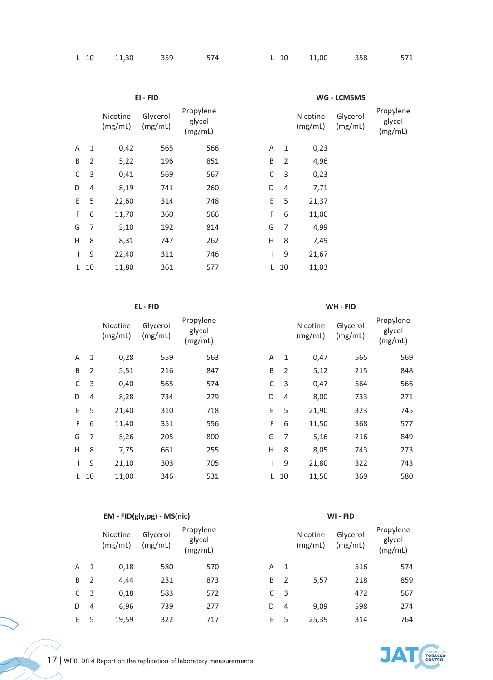|  |  | L 10 11,30 359 574 L 10 11,00 358 571 |  |  |
|--|--|---------------------------------------|--|--|
|  |  |                                       |  |  |

|    |                |                     | EI - FID            |                                |    | WG - LCMSMS    |                     |                     |                                |  |
|----|----------------|---------------------|---------------------|--------------------------------|----|----------------|---------------------|---------------------|--------------------------------|--|
|    |                | Nicotine<br>(mg/mL) | Glycerol<br>(mg/mL) | Propylene<br>glycol<br>(mg/mL) |    |                | Nicotine<br>(mg/mL) | Glycerol<br>(mg/mL) | Propylene<br>glycol<br>(mg/mL) |  |
| A  | 1              | 0,42                | 565                 | 566                            | A  | 1              | 0,23                |                     |                                |  |
| B  | $\overline{2}$ | 5,22                | 196                 | 851                            | B  | $\overline{2}$ | 4,96                |                     |                                |  |
| C  | 3              | 0,41                | 569                 | 567                            | С  | 3              | 0,23                |                     |                                |  |
| D  | $\overline{4}$ | 8,19                | 741                 | 260                            | D  | $\overline{4}$ | 7,71                |                     |                                |  |
| E. | 5              | 22,60               | 314                 | 748                            | E  | 5              | 21,37               |                     |                                |  |
| F  | 6              | 11,70               | 360                 | 566                            | F  | 6              | 11,00               |                     |                                |  |
| G  | $\overline{7}$ | 5,10                | 192                 | 814                            | G  | $\overline{7}$ | 4,99                |                     |                                |  |
| H  | 8              | 8,31                | 747                 | 262                            | Η  | 8              | 7,49                |                     |                                |  |
|    | 9              | 22,40               | 311                 | 746                            | L  | 9              | 21,67               |                     |                                |  |
| L. | 10             | 11,80               | 361                 | 577                            | L. | 10             | 11,03               |                     |                                |  |

### **EL - FID WH - FID**

|    |                | Nicotine<br>(mg/mL) | Glycerol<br>(mg/mL) | Propylene<br>glycol<br>(mg/mL) |    |    | Nicotine<br>(mg/mL) | Glycerol<br>(mg/mL) | Propylene<br>glycol<br>(mg/mL) |
|----|----------------|---------------------|---------------------|--------------------------------|----|----|---------------------|---------------------|--------------------------------|
| A  | 1              | 0,28                | 559                 | 563                            | A  | 1  | 0,47                | 565                 | 569                            |
| B  | $\overline{2}$ | 5,51                | 216                 | 847                            | B  | 2  | 5,12                | 215                 | 848                            |
| C  | 3              | 0,40                | 565                 | 574                            | C  | 3  | 0,47                | 564                 | 566                            |
| D  | 4              | 8,28                | 734                 | 279                            | D  | 4  | 8,00                | 733                 | 271                            |
| E. | 5              | 21,40               | 310                 | 718                            | E. | 5  | 21,90               | 323                 | 745                            |
| F  | 6              | 11,40               | 351                 | 556                            | F  | 6  | 11,50               | 368                 | 577                            |
| G  | 7              | 5,26                | 205                 | 800                            | G  | 7  | 5,16                | 216                 | 849                            |
| H  | 8              | 7,75                | 661                 | 255                            | Н  | 8  | 8,05                | 743                 | 273                            |
|    | 9              | 21,10               | 303                 | 705                            |    | 9  | 21,80               | 322                 | 743                            |
| L  | 10             | 11,00               | 346                 | 531                            | L. | 10 | 11,50               | 369                 | 580                            |

# **EM - FID(gly,pg) - MS(nic) WI - FID**

|    |    | Nicotine<br>(mg/mL) | Glycerol<br>(mg/mL) | Propylene<br>glycol<br>(mg/mL) |    |     | Nicotine<br>(mg/mL) | Glycerol<br>(mg/mL) | Propylene<br>glycol<br>(mg/mL) |
|----|----|---------------------|---------------------|--------------------------------|----|-----|---------------------|---------------------|--------------------------------|
| A  | -1 | 0,18                | 580                 | 570                            | Α  | - 1 |                     | 516                 | 574                            |
| B  | 2  | 4,44                | 231                 | 873                            | B  | 2   | 5,57                | 218                 | 859                            |
| C. | -3 | 0,18                | 583                 | 572                            | C  | -3  |                     | 472                 | 567                            |
| D  | 4  | 6,96                | 739                 | 277                            | D  | 4   | 9,09                | 598                 | 274                            |
| E. | -5 | 19,59               | 322                 | 717                            | E. | 5   | 25,39               | 314                 | 764                            |

|   |    | Nicotine<br>(mg/mL) | Glycerol<br>(mg/mL) | Propylene<br>glycol<br>(mg/mL) |
|---|----|---------------------|---------------------|--------------------------------|
| А | 1  | 0,47                | 565                 | 569                            |
| B | 2  | 5,12                | 215                 | 848                            |
| С | 3  | 0,47                | 564                 | 566                            |
| D | 4  | 8,00                | 733                 | 271                            |
| E | 5  | 21,90               | 323                 | 745                            |
| F | 6  | 11,50               | 368                 | 577                            |
| G | 7  | 5,16                | 216                 | 849                            |
| Н | 8  | 8,05                | 743                 | 273                            |
| I | 9  | 21,80               | 322                 | 743                            |
|   | 10 | 11,50               | 369                 | 580                            |
|   |    |                     |                     |                                |

|   |                | Nicotine<br>(mg/mL) | Glycerol<br>(mg/mL) | Propylene<br>glycol<br>(mg/mL) |
|---|----------------|---------------------|---------------------|--------------------------------|
| A | 1              |                     | 516                 | 574                            |
| B | $\mathfrak{D}$ | 5,57                | 218                 | 859                            |
| C | 3              |                     | 472                 | 567                            |
| D | 4              | 9,09                | 598                 | 274                            |
| F | 5              | 25,39               | 314                 | 764                            |



 $\bigvee$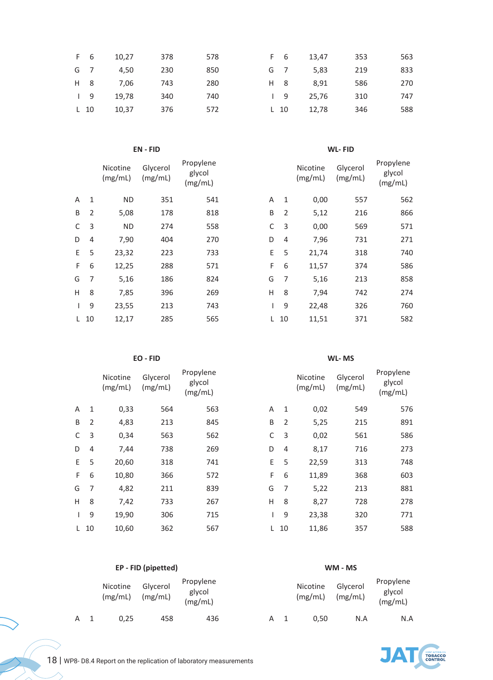| F 6  | 10.27 | 378 | 578 | F 6      | 13,47 | 353 | 563 |
|------|-------|-----|-----|----------|-------|-----|-----|
| G 7  | 4.50  | 230 | 850 | G 7      | 5,83  | 219 | 833 |
| H 8  | 7.06  | 743 | 280 | H 8      | 8.91  | 586 | 270 |
| 19   | 19.78 | 340 | 740 | 19       | 25.76 | 310 | 747 |
| L 10 | 10.37 | 376 | 572 | $L_{10}$ | 12.78 | 346 | 588 |

### **EN - FID WL- FID**

|    |                | Nicotine<br>(mg/mL) | Glycerol<br>(mg/mL) | Propylene<br>glycol<br>(mg/mL) |    |     | Nicotine<br>(mg/mL) | Glycerol<br>(mg/mL) | Propylene<br>glycol<br>(mg/mL) |
|----|----------------|---------------------|---------------------|--------------------------------|----|-----|---------------------|---------------------|--------------------------------|
| A  | $\mathbf{1}$   | <b>ND</b>           | 351                 | 541                            | A  | 1   | 0,00                | 557                 | 562                            |
| B  | $\overline{2}$ | 5,08                | 178                 | 818                            | B  | 2   | 5,12                | 216                 | 866                            |
| C  | 3              | <b>ND</b>           | 274                 | 558                            | C  | 3   | 0,00                | 569                 | 571                            |
| D  | $\overline{4}$ | 7,90                | 404                 | 270                            | D  | 4   | 7,96                | 731                 | 271                            |
| E. | 5              | 23,32               | 223                 | 733                            | E. | 5   | 21,74               | 318                 | 740                            |
| F. | 6              | 12,25               | 288                 | 571                            | F. | 6   | 11,57               | 374                 | 586                            |
| G  | 7              | 5,16                | 186                 | 824                            | G  | 7   | 5,16                | 213                 | 858                            |
| H  | 8              | 7,85                | 396                 | 269                            | H  | 8   | 7,94                | 742                 | 274                            |
|    | 9              | 23,55               | 213                 | 743                            |    | 9   | 22,48               | 326                 | 760                            |
|    | 10             | 12 17               | 285                 | 565                            |    | 1 N | 11 51               | 371                 | 582                            |

### **EO - FID WL- MS**

|    |                | Nicotine<br>(mg/mL) | Glycerol<br>(mg/mL) | Propylene<br>glycol<br>(mg/mL) |    |    | Nicotine<br>(mg/mL) | Glycerol<br>(mg/mL) | Propylene<br>glycol<br>(mg/mL) |
|----|----------------|---------------------|---------------------|--------------------------------|----|----|---------------------|---------------------|--------------------------------|
| A  | 1              | 0,33                | 564                 | 563                            | A  | 1  | 0,02                | 549                 | 576                            |
| B  | 2              | 4,83                | 213                 | 845                            | B  | 2  | 5,25                | 215                 | 891                            |
| C  | 3              | 0,34                | 563                 | 562                            | C  | 3  | 0,02                | 561                 | 586                            |
| D  | 4              | 7,44                | 738                 | 269                            | D  | 4  | 8,17                | 716                 | 273                            |
| E. | 5              | 20,60               | 318                 | 741                            | E. | 5  | 22,59               | 313                 | 748                            |
| F. | 6              | 10,80               | 366                 | 572                            | F  | 6  | 11,89               | 368                 | 603                            |
| G  | $\overline{7}$ | 4,82                | 211                 | 839                            | G  | 7  | 5,22                | 213                 | 881                            |
| H  | 8              | 7,42                | 733                 | 267                            | H  | 8  | 8,27                | 728                 | 278                            |
|    | 9              | 19,90               | 306                 | 715                            |    | 9  | 23,38               | 320                 | 771                            |
| L. | 10             | 10,60               | 362                 | 567                            | L. | 10 | 11,86               | 357                 | 588                            |
|    |                |                     |                     |                                |    |    |                     |                     |                                |

|                |                | Nicotine<br>(mg/mL) | Glycerol<br>(mg/mL) | Propylene<br>glycol<br>(mg/mL) |   |                | Nicotine<br>(mg/mL) | Glycerol<br>(mg/mL) | Propylene<br>glycol<br>(mg/mL) |
|----------------|----------------|---------------------|---------------------|--------------------------------|---|----------------|---------------------|---------------------|--------------------------------|
| Д              | 1              | <b>ND</b>           | 351                 | 541                            | A | 1              | 0,00                | 557                 | 562                            |
| B              | $\overline{2}$ | 5,08                | 178                 | 818                            | B | $\overline{2}$ | 5,12                | 216                 | 866                            |
|                | 3              | <b>ND</b>           | 274                 | 558                            | C | 3              | 0,00                | 569                 | 571                            |
|                | 4              | 7,90                | 404                 | 270                            | D | $\overline{4}$ | 7,96                | 731                 | 271                            |
| E.             | 5              | 23,32               | 223                 | 733                            | E | 5              | 21,74               | 318                 | 740                            |
| F.             | 6              | 12,25               | 288                 | 571                            | F | 6              | 11,57               | 374                 | 586                            |
| G              | $\overline{7}$ | 5,16                | 186                 | 824                            | G | $\overline{7}$ | 5,16                | 213                 | 858                            |
| $\overline{1}$ | 8              | 7,85                | 396                 | 269                            | H | 8              | 7,94                | 742                 | 274                            |
| L              | 9              | 23,55               | 213                 | 743                            |   | 9              | 22,48               | 326                 | 760                            |
|                | L 10           | 12,17               | 285                 | 565                            | L | 10             | 11,51               | 371                 | 582                            |

|                |                | Nicotine<br>(mg/mL) | Glycerol<br>(mg/mL) | Propylene<br>glycol<br>(mg/mL) |    |                | Nicotine<br>(mg/mL) | Glycerol<br>(mg/mL) | Propylene<br>glycol<br>(mg/mL) |
|----------------|----------------|---------------------|---------------------|--------------------------------|----|----------------|---------------------|---------------------|--------------------------------|
|                | 1              | 0,33                | 564                 | 563                            | A  | 1              | 0,02                | 549                 | 576                            |
|                | $\overline{2}$ | 4,83                | 213                 | 845                            | B  | 2              | 5,25                | 215                 | 891                            |
|                | 3              | 0,34                | 563                 | 562                            | C  | 3              | 0,02                | 561                 | 586                            |
|                | $\overline{4}$ | 7,44                | 738                 | 269                            | D  | $\overline{4}$ | 8,17                | 716                 | 273                            |
|                | 5              | 20,60               | 318                 | 741                            | E  | 5              | 22,59               | 313                 | 748                            |
| $\overline{a}$ | 6              | 10,80               | 366                 | 572                            | F  | 6              | 11,89               | 368                 | 603                            |
|                | 7              | 4,82                | 211                 | 839                            | G  | 7              | 5,22                | 213                 | 881                            |
|                | 8              | 7,42                | 733                 | 267                            | H  | 8              | 8,27                | 728                 | 278                            |
|                | 9              | 19,90               | 306                 | 715                            |    | 9              | 23,38               | 320                 | 771                            |
|                | 10             | 10,60               | 362                 | 567                            | L. | 10             | 11,86               | 357                 | 588                            |
|                |                |                     |                     |                                |    |                |                     |                     |                                |

### **EP - FID (pipetted) WM - MS** Nicotine (mg/mL) Glycerol (mg/mL) Propylene glycol (mg/mL) Nicotine (mg/mL) Glycerol (mg/mL) Propylene glycol (mg/mL) A 1 0,25 458 436 A 1 0,50 N.A N.A

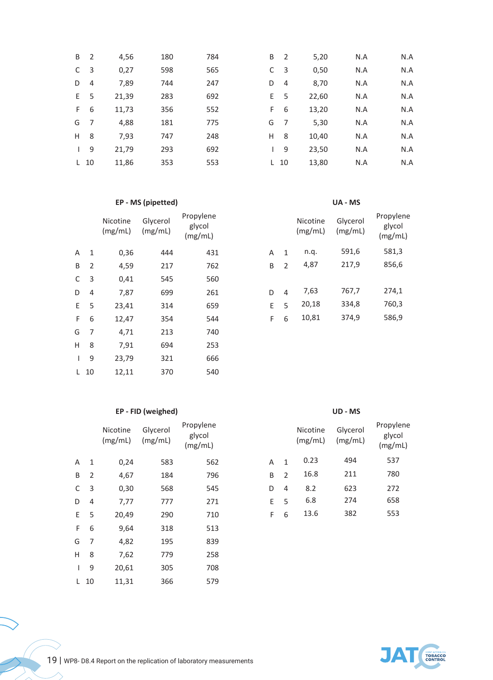| C<br>D | -3<br>$\overline{4}$<br>- 5 | 0,27<br>7,89 | 598<br>744 | 565<br>247 | C  | 3              | 0,50  | N.A | N.A |
|--------|-----------------------------|--------------|------------|------------|----|----------------|-------|-----|-----|
|        |                             |              |            |            |    |                |       |     |     |
|        |                             |              |            |            | D  | $\overline{4}$ | 8,70  | N.A | N.A |
| E.     |                             | 21,39        | 283        | 692        | E. | 5              | 22,60 | N.A | N.A |
| F.     | 6                           | 11,73        | 356        | 552        | F  | 6              | 13,20 | N.A | N.A |
| G      | 7                           | 4,88         | 181        | 775        | G  | 7              | 5,30  | N.A | N.A |
| H      | 8                           | 7,93         | 747        | 248        | Н  | 8              | 10,40 | N.A | N.A |
| L      | 9                           | 21,79        | 293        | 692        |    | 9              | 23,50 | N.A | N.A |
| L.     | 10                          | 11,86        | 353        | 553        |    | $L$ 10         | 13,80 | N.A | N.A |

### **EP - MS (pipetted) UA - MS**

|              |                | Nicotine<br>(mg/mL) | Glycerol<br>(mg/mL) | Propylene<br>glycol<br>(mg/mL) |   |                | Nicotine<br>(mg/mL) | Glycerol<br>(mg/mL) | Propyle<br>glycol<br>(mg/m) |
|--------------|----------------|---------------------|---------------------|--------------------------------|---|----------------|---------------------|---------------------|-----------------------------|
| $\mathsf{A}$ | $\mathbf{1}$   | 0,36                | 444                 | 431                            | A | $\mathbf{1}$   | n.q.                | 591,6               | 581,3                       |
| B            | $\overline{2}$ | 4,59                | 217                 | 762                            | B | 2              | 4,87                | 217,9               | 856,6                       |
| C            | 3              | 0,41                | 545                 | 560                            |   |                |                     |                     |                             |
| D            | $\overline{4}$ | 7,87                | 699                 | 261                            | D | $\overline{4}$ | 7,63                | 767,7               | 274,1                       |
| E.           | 5              | 23,41               | 314                 | 659                            | E | 5              | 20,18               | 334,8               | 760,3                       |
| F.           | 6              | 12,47               | 354                 | 544                            | F | 6              | 10,81               | 374,9               | 586,9                       |
| G            | 7              | 4,71                | 213                 | 740                            |   |                |                     |                     |                             |
| H            | 8              | 7,91                | 694                 | 253                            |   |                |                     |                     |                             |
| I            | 9              | 23,79               | 321                 | 666                            |   |                |                     |                     |                             |
|              | $L$ 10         | 12,11               | 370                 | 540                            |   |                |                     |                     |                             |

# **EP - FID (weighed) UD - MS**

|              |                | Nicotine<br>(mg/mL) | Glycerol<br>(mg/mL) | Propylene<br>glycol<br>(mg/mL) |   |   | Nicotine<br>(mg/mL) | Glycerol<br>(mg/mL) | Propyle<br>glyco<br>(mg/n |
|--------------|----------------|---------------------|---------------------|--------------------------------|---|---|---------------------|---------------------|---------------------------|
| Α            | 1              | 0,24                | 583                 | 562                            | A | 1 | 0.23                | 494                 | 537                       |
| B            | 2              | 4,67                | 184                 | 796                            | B | 2 | 16.8                | 211                 | 780                       |
| C            | 3              | 0,30                | 568                 | 545                            | D | 4 | 8.2                 | 623                 | 272                       |
| D            | 4              | 7,77                | 777                 | 271                            | E | 5 | 6.8                 | 274                 | 658                       |
| E.           | 5              | 20,49               | 290                 | 710                            | F | 6 | 13.6                | 382                 | 553                       |
| F.           | 6              | 9,64                | 318                 | 513                            |   |   |                     |                     |                           |
| G            | $\overline{7}$ | 4,82                | 195                 | 839                            |   |   |                     |                     |                           |
| H            | 8              | 7,62                | 779                 | 258                            |   |   |                     |                     |                           |
| $\mathbf{I}$ | 9              | 20,61               | 305                 | 708                            |   |   |                     |                     |                           |
|              | $L$ 10         | 11,31               | 366                 | 579                            |   |   |                     |                     |                           |
|              |                |                     |                     |                                |   |   |                     |                     |                           |

|   |                | Nicotine<br>(mg/mL) | Glycerol<br>(mg/mL) | Propylene<br>glycol<br>(mg/mL) |
|---|----------------|---------------------|---------------------|--------------------------------|
| А | 1              | n.q.                | 591,6               | 581,3                          |
| B | $\mathfrak{D}$ | 4,87                | 217,9               | 856,6                          |
|   |                |                     |                     |                                |
| D | 4              | 7,63                | 767,7               | 274,1                          |
| F | 5              | 20,18               | 334,8               | 760,3                          |
| F | 6              | 10,81               | 374,9               | 586,9                          |

|   |               | Nicotine<br>(mg/mL) | Glycerol<br>(mg/mL) | Propylene<br>glycol<br>(mg/mL) |
|---|---------------|---------------------|---------------------|--------------------------------|
| А | 1             | 0.23                | 494                 | 537                            |
| R | $\mathcal{P}$ | 16.8                | 211                 | 780                            |
| D | 4             | 8.2                 | 623                 | 272                            |
| F | 5             | 6.8                 | 274                 | 658                            |
| F | 6             | 13.6                | 382                 | 553                            |
|   |               |                     |                     |                                |



 $\overline{a}$